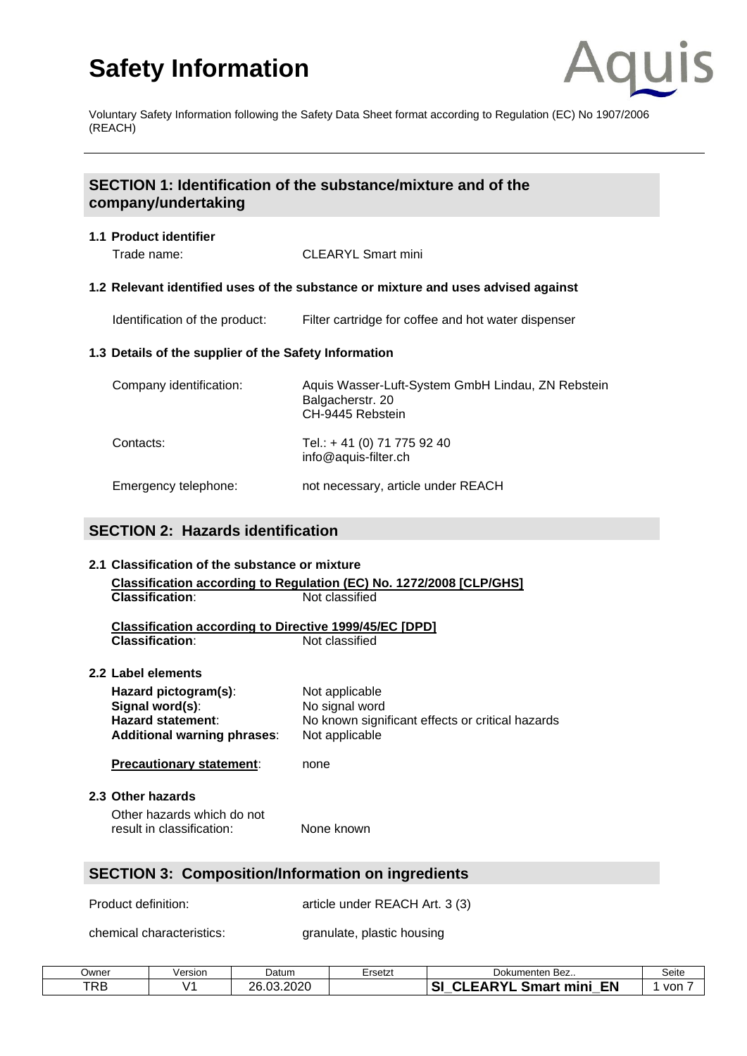

Voluntary Safety Information following the Safety Data Sheet format according to Regulation (EC) No 1907/2006 (REACH)

## **SECTION 1: Identification of the substance/mixture and of the company/undertaking**

#### **1.1 Product identifier**

Trade name: CLEARYL Smart mini

#### **1.2 Relevant identified uses of the substance or mixture and uses advised against**

Identification of the product: Filter cartridge for coffee and hot water dispenser

## **1.3 Details of the supplier of the Safety Information**

| Company identification: | Aquis Wasser-Luft-System GmbH Lindau, ZN Rebstein<br>Balgacherstr. 20<br>CH-9445 Rebstein |
|-------------------------|-------------------------------------------------------------------------------------------|
| Contacts:               | Tel.: +41 (0) 71 775 92 40<br>info@aquis-filter.ch                                        |
| Emergency telephone:    | not necessary, article under REACH                                                        |

## **SECTION 2: Hazards identification**

## **2.1 Classification of the substance or mixture Classification according to Regulation (EC) No. 1272/2008 [CLP/GHS] Classification:** Not classified **Classification according to Directive 1999/45/EC [DPD] Classification:** Not classified **2.2 Label elements Hazard pictogram(s):** Not applicable<br> **Signal word(s):** No signal word **Signal word(s): Hazard statement**: No known significant effects or critical hazards **Additional warning phrases**: Not applicable **Precautionary statement:** none **2.3 Other hazards** Other hazards which do not result in classification: None known **SECTION 3: Composition/Information on ingredients**

Product definition: article under REACH Art. 3 (3)

chemical characteristics: granulate, plastic housing

| Owner      | Version           | Datum               | Ersetzt | Dokumenten<br>Bez                                         | Seite |
|------------|-------------------|---------------------|---------|-----------------------------------------------------------|-------|
| <b>TRB</b> | $\cdot$ / $\cdot$ | 13.2020<br>ገድ<br>റാ |         | nv <sub>r</sub><br><b>EN</b><br>mini<br><b>.</b><br>Smart | von   |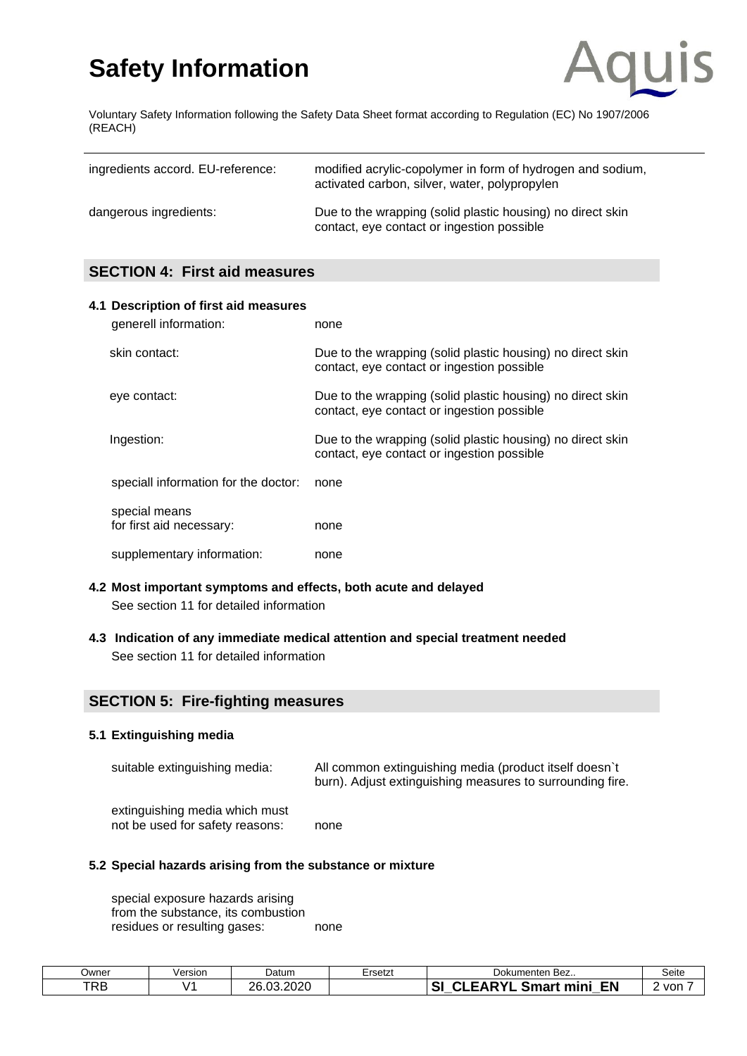

Voluntary Safety Information following the Safety Data Sheet format according to Regulation (EC) No 1907/2006 (REACH)

| ingredients accord. EU-reference: | modified acrylic-copolymer in form of hydrogen and sodium,<br>activated carbon, silver, water, polypropylen |
|-----------------------------------|-------------------------------------------------------------------------------------------------------------|
| dangerous ingredients:            | Due to the wrapping (solid plastic housing) no direct skin<br>contact, eye contact or ingestion possible    |

## **SECTION 4: First aid measures**

| 4.1 Description of first aid measures<br>generell information: | none                                                                                                     |
|----------------------------------------------------------------|----------------------------------------------------------------------------------------------------------|
| skin contact:                                                  | Due to the wrapping (solid plastic housing) no direct skin<br>contact, eye contact or ingestion possible |
| eye contact:                                                   | Due to the wrapping (solid plastic housing) no direct skin<br>contact, eye contact or ingestion possible |
| Ingestion:                                                     | Due to the wrapping (solid plastic housing) no direct skin<br>contact, eye contact or ingestion possible |
| speciall information for the doctor:                           | none                                                                                                     |
| special means<br>for first aid necessary:                      | none                                                                                                     |
| supplementary information:                                     | none                                                                                                     |

- **4.2 Most important symptoms and effects, both acute and delayed**  See section 11 for detailed information
- **4.3 Indication of any immediate medical attention and special treatment needed**  See section 11 for detailed information

## **SECTION 5: Fire-fighting measures**

## **5.1 Extinguishing media**

| suitable extinguishing media:                                     | All common extinguishing media (product itself doesn't<br>burn). Adjust extinguishing measures to surrounding fire. |
|-------------------------------------------------------------------|---------------------------------------------------------------------------------------------------------------------|
| extinguishing media which must<br>not be used for safety reasons: | none                                                                                                                |

## **5.2 Special hazards arising from the substance or mixture**

special exposure hazards arising from the substance, its combustion residues or resulting gases: none

| Owner      | Version    | Datum                        | Ersetzi | Bez<br>Dokumenten                                                | Seite |
|------------|------------|------------------------------|---------|------------------------------------------------------------------|-------|
| <b>TRB</b> | $\sqrt{ }$ | ാറാ∩<br>റമ<br>$\sim$<br>ั∪∠∪ |         | ו שר<br><b>EN</b><br>$\ddot{\phantom{1}}$<br>ےmart<br>mini<br>э. | von   |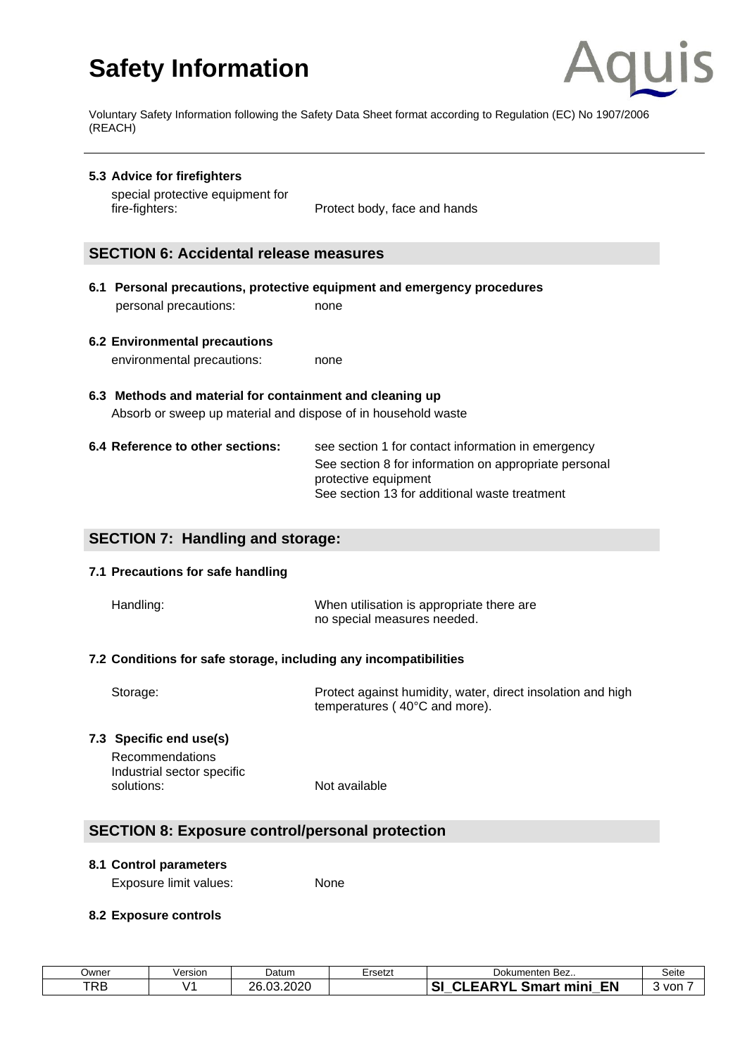

Voluntary Safety Information following the Safety Data Sheet format according to Regulation (EC) No 1907/2006 (REACH)

**5.3 Advice for firefighters**  special protective equipment for fire-fighters: **Protect body**, face and hands

## **SECTION 6: Accidental release measures**

- **6.1 Personal precautions, protective equipment and emergency procedures**  personal precautions: none
- **6.2 Environmental precautions**  environmental precautions: none
- **6.3 Methods and material for containment and cleaning up**  Absorb or sweep up material and dispose of in household waste

| 6.4 Reference to other sections: | see section 1 for contact information in emergency                            |
|----------------------------------|-------------------------------------------------------------------------------|
|                                  | See section 8 for information on appropriate personal<br>protective equipment |
|                                  | See section 13 for additional waste treatment                                 |

## **SECTION 7: Handling and storage:**

#### **7.1 Precautions for safe handling**

| Handling: | When utilisation is appropriate there are |
|-----------|-------------------------------------------|
|           | no special measures needed.               |

#### **7.2 Conditions for safe storage, including any incompatibilities**

| Storage: | Protect against humidity, water, direct insolation and high |
|----------|-------------------------------------------------------------|
|          | temperatures (40°C and more).                               |

## **7.3 Specific end use(s)**

Recommendations Industrial sector specific solutions: Not available

## **SECTION 8: Exposure control/personal protection**

#### **8.1 Control parameters**

Exposure limit values: None

## **8.2 Exposure controls**

| Owner | Version       | Datum              | Ersetzt | 、Bez<br>Dokumenten                                                    | Seite |
|-------|---------------|--------------------|---------|-----------------------------------------------------------------------|-------|
| TRB   | $\mathcal{L}$ | 3.2020<br>ንድ<br>በ3 |         | . DVI<br><b>EN</b><br>$\sim$<br>TAR.<br><b>Smart mini</b><br>ञ<br>$-$ | von   |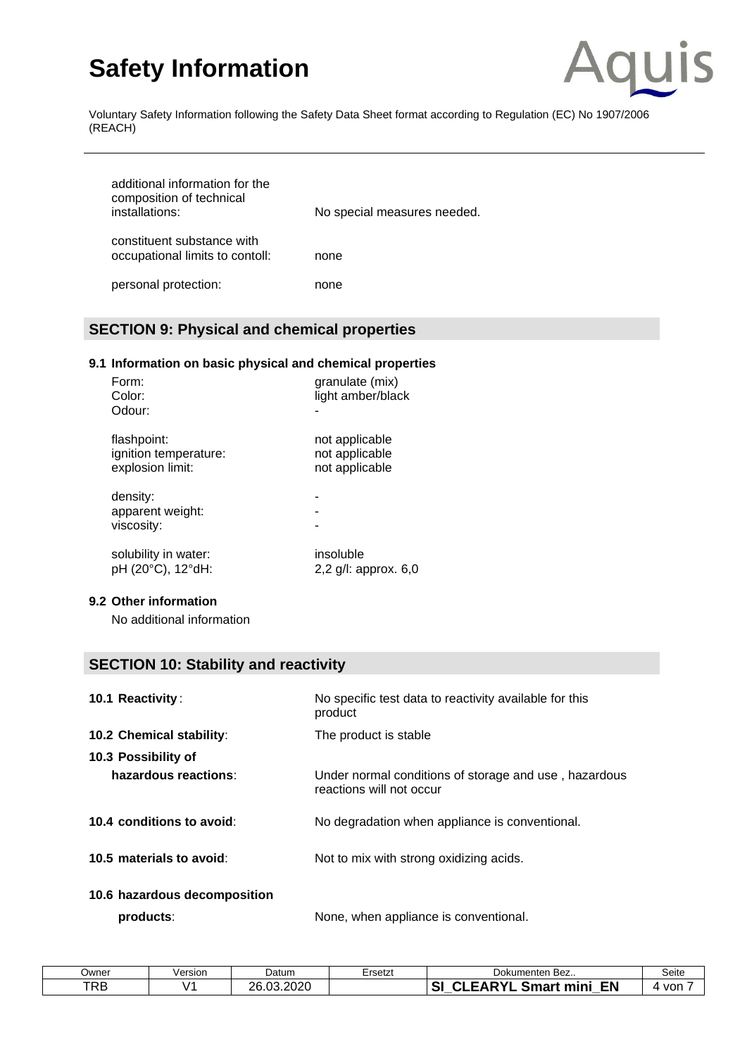

Voluntary Safety Information following the Safety Data Sheet format according to Regulation (EC) No 1907/2006 (REACH)

| additional information for the<br>composition of technical<br>installations: | No special measures needed. |
|------------------------------------------------------------------------------|-----------------------------|
| constituent substance with<br>occupational limits to contoll:                | none                        |
| personal protection:                                                         | none                        |

## **SECTION 9: Physical and chemical properties**

## **9.1 Information on basic physical and chemical properties**

| Form:<br>Color:<br>Odour:                  | granulate (mix)<br>light amber/black |
|--------------------------------------------|--------------------------------------|
| flashpoint:                                | not applicable                       |
| ignition temperature:                      | not applicable                       |
| explosion limit:                           | not applicable                       |
| density:<br>apparent weight:<br>viscosity: |                                      |
| solubility in water:                       | insoluble                            |
| pH (20°C), 12°dH:                          | 2.2 $q/l$ : approx. 6.0              |

#### **9.2 Other information**

No additional information

## **SECTION 10: Stability and reactivity**

| <b>10.1 Reactivity:</b>         | No specific test data to reactivity available for this<br>product                 |
|---------------------------------|-----------------------------------------------------------------------------------|
| <b>10.2 Chemical stability:</b> | The product is stable                                                             |
| 10.3 Possibility of             |                                                                                   |
| hazardous reactions:            | Under normal conditions of storage and use, hazardous<br>reactions will not occur |
| 10.4 conditions to avoid:       | No degradation when appliance is conventional.                                    |
| 10.5 materials to avoid:        | Not to mix with strong oxidizing acids.                                           |
| 10.6 hazardous decomposition    |                                                                                   |

**products:** None, when appliance is conventional.

| Jwner      | /ersion | Datum                       | Ersetzt | Dokumenten<br>Bez                                     | Seite |
|------------|---------|-----------------------------|---------|-------------------------------------------------------|-------|
| <b>TRB</b> | .       | 3.2020<br>วค<br>$\sim$<br>. |         | <b>EN</b><br>S<br><b>ADVI</b><br>mini<br>Smart<br>. . | von   |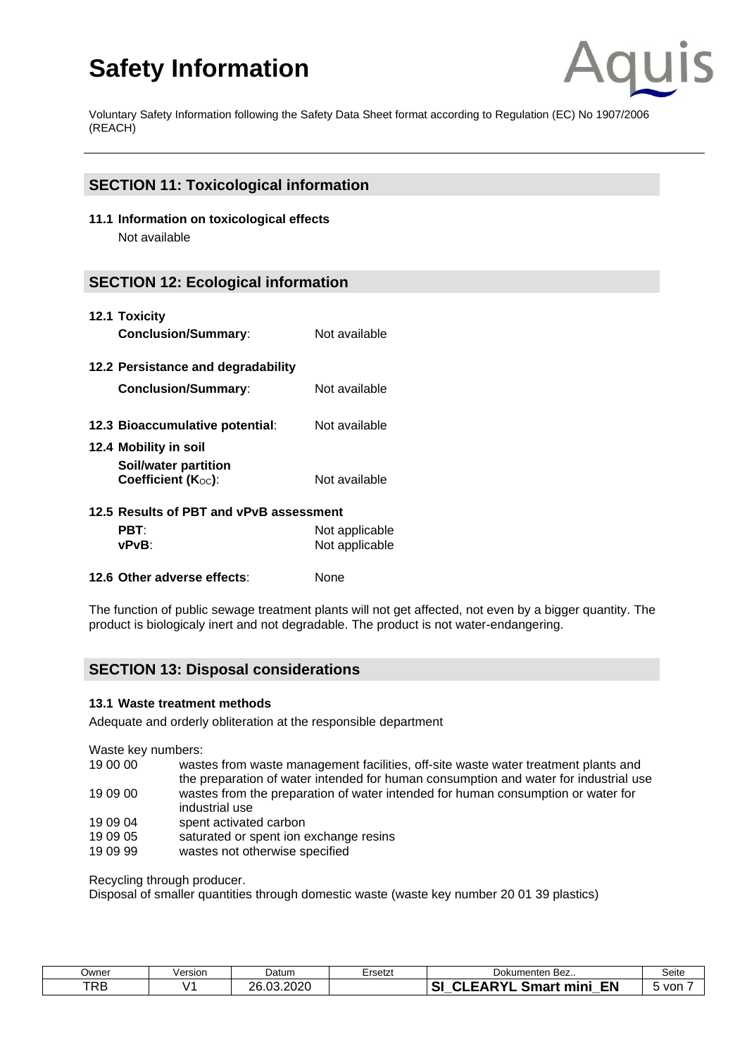

Voluntary Safety Information following the Safety Data Sheet format according to Regulation (EC) No 1907/2006 (REACH)

## **SECTION 11: Toxicological information**

**11.1 Information on toxicological effects** Not available

## **SECTION 12: Ecological information**

| 12.1 Toxicity<br><b>Conclusion/Summary:</b>                         | Not available                    |
|---------------------------------------------------------------------|----------------------------------|
| 12.2 Persistance and degradability<br><b>Conclusion/Summary:</b>    | Not available                    |
| 12.3 Bioaccumulative potential:                                     | Not available                    |
| 12.4 Mobility in soil<br>Soil/water partition<br>Coefficient (Koc): | Not available                    |
| 12.5 Results of PBT and vPvB assessment<br>PBT:<br>vPvB∶            | Not applicable<br>Not applicable |

**12.6 Other adverse effects**: None

The function of public [sewage](http://dict.leo.org/se?lp=ende&p=/Mn4k.&search=sewage) [treatment](http://dict.leo.org/se?lp=ende&p=/Mn4k.&search=treatment) [plants](http://dict.leo.org/se?lp=ende&p=/Mn4k.&search=plants) will not get affected, not even by a bigger quantity. The product is biologicaly inert and not [degradable.](http://dict.leo.org/se?lp=ende&p=/Mn4k.&search=bio-degradable) The product is not water-endangering.

## **SECTION 13: Disposal considerations**

#### **13.1 Waste treatment methods**

[Adequate](http://dict.leo.org/se?lp=ende&p=/Mn4k.&search=adequate) [and](http://dict.leo.org/se?lp=ende&p=/Mn4k.&search=and) [orderly](http://dict.leo.org/se?lp=ende&p=/Mn4k.&search=orderly) obliteration at the responsible department

Waste key numbers:

- 19 00 00 wastes from waste management facilities, off-site waste water treatment plants and the preparation of water intended for human consumption and water for industrial use 19 09 00 wastes from the preparation of water intended for human consumption or water for industrial use
- 19 09 04 spent activated carbon
- 19 09 05 saturated or spent ion exchange resins
- 19 09 99 wastes not otherwise specified

Recycling through producer.

Disposal of smaller quantities through domestic waste (waste key number 20 01 39 plastics)

| <b>Jwner</b> | /ersion  | Datum          | Ersetzt | ≅Bez<br>Dokumenten                                                         | Seite |
|--------------|----------|----------------|---------|----------------------------------------------------------------------------|-------|
| <b>TRB</b>   | $\prime$ | .03.2020<br>วค |         | $\mathbf{C}$<br><b>CADVI</b><br><b>EN</b><br><b>Smart mini</b><br>ΔK<br>Эľ | von   |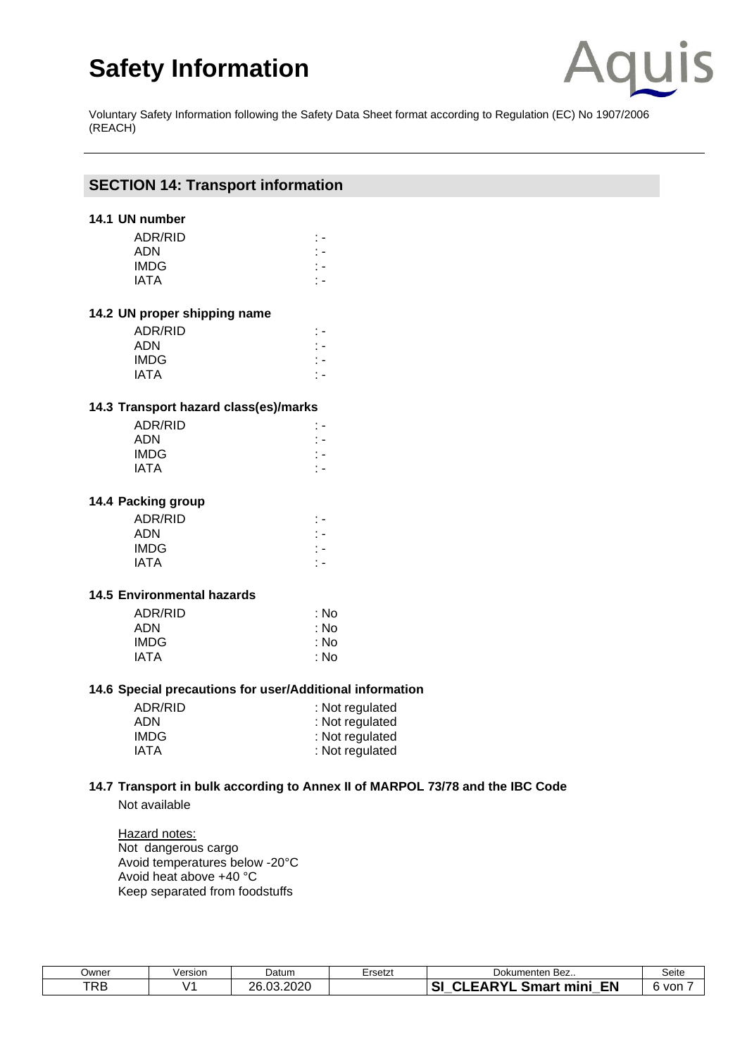

Voluntary Safety Information following the Safety Data Sheet format according to Regulation (EC) No 1907/2006 (REACH)

### **SECTION 14: Transport information**

## **14.1 UN number**

| ADR/RID     |  |
|-------------|--|
| <b>ADN</b>  |  |
| <b>IMDG</b> |  |
| IATA        |  |

#### **14.2 UN proper shipping name**

| ADR/RID     | ÷ = |
|-------------|-----|
| <b>ADN</b>  | ÷ = |
| IMDG.       | ÷ = |
| <b>IATA</b> | ٠.  |

## **14.3 Transport hazard class(es)/marks**

#### **14.4 Packing group**

| ADR/RID |     |
|---------|-----|
| ADN     | ÷ = |
| IMDG    | ÷ = |
| IATA    |     |

#### **14.5 Environmental hazards**

| : No |
|------|
| : No |
| : No |
| : No |
|      |

#### **14.6 Special precautions for user/Additional information**

| ADR/RID | : Not regulated |
|---------|-----------------|
| ADN     | : Not regulated |
| IMDG    | : Not regulated |
| IATA    | : Not regulated |

## **14.7 Transport in bulk according to Annex II of MARPOL 73/78 and the IBC Code**

Not available

Hazard notes: Not dangerous cargo Avoid temperatures below -20°C Avoid heat above +40 °C Keep separated from foodstuffs

| Owner      | √ersion | Datum                       | Ersetzt | Dokumenten Bez                             | Seite |
|------------|---------|-----------------------------|---------|--------------------------------------------|-------|
| <b>TRB</b> |         | חרחר<br>ገድ<br>$\sim$<br>∪∠∪ |         | $\lambda$ DV.<br><b>EN</b><br>Smart<br>min | von   |